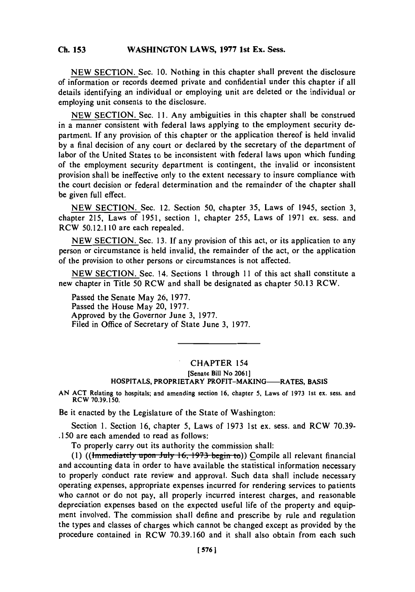## **Ch 153WASHINGTON LAWS, 1977 1st Ex. Sess. Ch. 153**

**NEW SECTION.** Sec. **10.** Nothing in this chapter shall prevent the disclosure of information or records deemed private and confidential under this chapter if all details identifying an individual or employing unit are deleted or the individual or employing unit consents to the disclosure.

**NEW SECTION.** Sec. **11.** Any ambiguities in this chapter shall be construed in a manner consistent with federal laws applying to the employment security department. **If** any provision of this chapter or the application thereof is held invalid **by** a final decision of any court or declared **by** the secretary of the department of labor of the United States to be inconsistent with federal laws upon which funding of the employment security department is contingent, the invalid or inconsistent provision shall be ineffective only to the extent necessary to insure compliance with the court decision or federal determination and the remainder of the chapter shall be given full effect.

**NEW SECTION.** Sec. 12. Section *50,* chapter **35,** Laws of 1945, section **3,** chapter **215,** Laws of **1951,** section **1,** chapter **255,** Laws of **1971** ex. sess. and RCW **50.12.110** are each repealed.

**NEW SECTION.** Sec. **13. If** any provision of this act, or its application to any person or circumstance is held invalid, the remainder of the act, or the application of the provision to other persons or circumstances is not affected.

**NEW SECTION.** Sec. 14. Sections 1 through 11 of this act shall constitute a new chapter in Title **50** RCW and shall be designated as chapter **50.13** RCW.

Passed the Senate May **26, 1977.** Passed the House May 20, **1977.** Approved **by** the Governor June **3, 1977.** Filed in Office of Secretary of State June **3, 1977.**

## CHAPTER 154 [Senate Bill No **2061]** HOSPITALS, PROPRIETARY PROFIT-MAKING-RATES, BASIS

**AN ACT** Relating to hospitals; and amending section **16,** chapter **5,** Laws of **1973** 1st ex. sess. and RCW **70.39.150.**

Be it enacted **by** the Legislature of the State of Washington:

Section **1.** Section **16,** chapter **5,** Laws of **1973** 1st ex. sess. and RCW **70.39- .150** are each amended to read as follows:

To properly carry out its authority the commission shall:

(1) ((*lmmediately upon July 16, 1973 begin to*)) Compile all relevant financial and accounting data in order to have available the statistical information necessary to properly conduct rate review and approval. Such data shall include necessary operating expenses, appropriate expenses incurred for rendering services to patients who cannot or do not pay, all properly incurred interest charges, and reasonable depreciation expenses based on the expected useful life of the property and equipment involved. The commission shall define and prescribe **by** rule and regulation the types and classes of charges which cannot be changed except as provided **by** the procedure contained in RCW **70.39.160** and it shall also obtain from each such